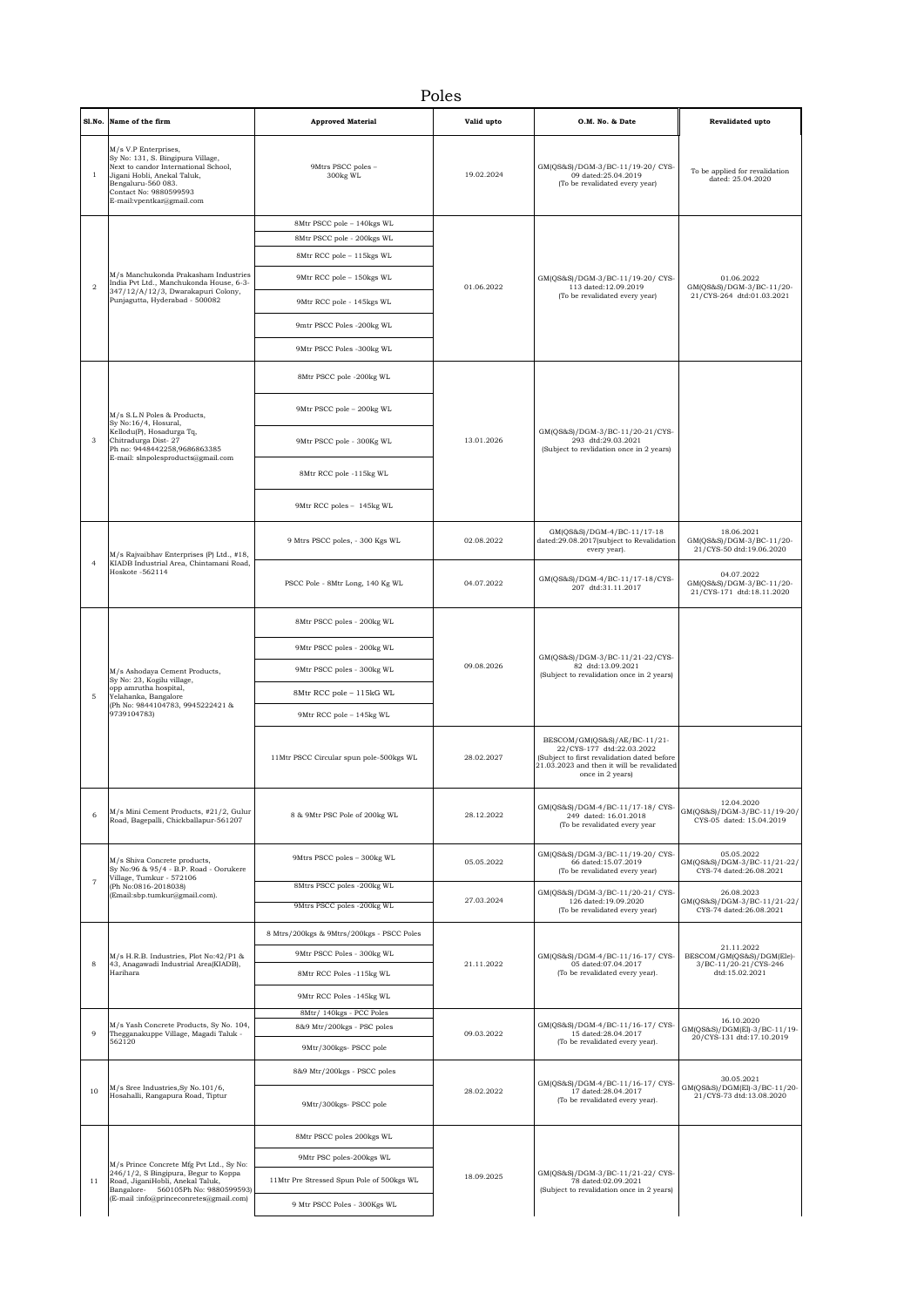## Poles

| Sl.No.         | Name of the firm                                                                                                                                                                                              | <b>Approved Material</b>                                                                                                                        | Valid upto | O.M. No. & Date                                                                                                                                                            | <b>Revalidated upto</b>                                                 |
|----------------|---------------------------------------------------------------------------------------------------------------------------------------------------------------------------------------------------------------|-------------------------------------------------------------------------------------------------------------------------------------------------|------------|----------------------------------------------------------------------------------------------------------------------------------------------------------------------------|-------------------------------------------------------------------------|
| $\mathbf{1}$   | M/s V.P Enterprises,<br>Sy No: 131, S. Bingipura Village,<br>Next to candor International School,<br>Jigani Hobli, Anekal Taluk,<br>Bengaluru-560 083.<br>Contact No: 9880599593<br>E-mail:vpentkar@gmail.com | 9Mtrs PSCC poles -<br>300kg WL                                                                                                                  | 19.02.2024 | GM(QS&S)/DGM-3/BC-11/19-20/ CYS-<br>09 dated:25.04.2019<br>(To be revalidated every year)                                                                                  | To be applied for revalidation<br>dated: 25.04.2020                     |
| $\overline{a}$ | M/s Manchukonda Prakasham Industries<br>India Pvt Ltd., Manchukonda House, 6-3-<br>347/12/A/12/3, Dwarakapuri Colony,<br>Punjagutta, Hyderabad - 500082                                                       | 8Mtr PSCC pole - 140kgs WL<br>8Mtr PSCC pole - 200kgs WL<br>8Mtr RCC pole - 115kgs WL<br>9Mtr RCC pole - 150kgs WL<br>9Mtr RCC pole - 145kgs WL | 01.06.2022 | GM(QS&S)/DGM-3/BC-11/19-20/ CYS-<br>113 dated:12.09.2019<br>(To be revalidated every year)                                                                                 | 01.06.2022<br>GM(QS&S)/DGM-3/BC-11/20-<br>21/CYS-264 dtd:01.03.2021     |
|                |                                                                                                                                                                                                               | 9mtr PSCC Poles -200kg WL<br>9Mtr PSCC Poles -300kg WL                                                                                          |            |                                                                                                                                                                            |                                                                         |
|                | M/s S.L.N Poles & Products,<br>Sy No:16/4, Hosural,<br>Kellodu(P), Hosadurga Tq,<br>Chitradurga Dist-27<br>Ph no: 9448442258,9686863385<br>E-mail: slnpolesproducts@gmail.com                                 | 8Mtr PSCC pole -200kg WL                                                                                                                        | 13.01.2026 | GM(QS&S)/DGM-3/BC-11/20-21/CYS-<br>293 dtd:29.03.2021<br>(Subject to revlidation once in 2 years)                                                                          |                                                                         |
|                |                                                                                                                                                                                                               | 9Mtr PSCC pole - 200kg WL                                                                                                                       |            |                                                                                                                                                                            |                                                                         |
| 3              |                                                                                                                                                                                                               | 9Mtr PSCC pole - 300Kg WL                                                                                                                       |            |                                                                                                                                                                            |                                                                         |
|                |                                                                                                                                                                                                               | 8Mtr RCC pole -115kg WL                                                                                                                         |            |                                                                                                                                                                            |                                                                         |
|                |                                                                                                                                                                                                               | 9Mtr RCC poles - 145kg WL                                                                                                                       |            |                                                                                                                                                                            |                                                                         |
|                | M/s Rajvaibhav Enterprises (P) Ltd., #18,<br>KIADB Industrial Area, Chintamani Road,<br>Hoskote -562114                                                                                                       | 9 Mtrs PSCC poles, - 300 Kgs WL                                                                                                                 | 02.08.2022 | GM(QS&S)/DGM-4/BC-11/17-18<br>dated:29.08.2017(subject to Revalidation<br>every year).                                                                                     | 18.06.2021<br>GM(QS&S)/DGM-3/BC-11/20-<br>21/CYS-50 dtd:19.06.2020      |
| $\overline{4}$ |                                                                                                                                                                                                               | PSCC Pole - 8Mtr Long, 140 Kg WL                                                                                                                | 04.07.2022 | GM(QS&S)/DGM-4/BC-11/17-18/CYS-<br>207 dtd:31.11.2017                                                                                                                      | 04.07.2022<br>GM(QS&S)/DGM-3/BC-11/20-<br>21/CYS-171 dtd:18.11.2020     |
|                | M/s Ashodaya Cement Products,<br>Sy No: 23, Kogilu village,<br>opp amrutha hospital.<br>Yelahanka, Bangalore<br>(Ph No: 9844104783, 9945222421 &<br>9739104783)                                               | 8Mtr PSCC poles - 200kg WL                                                                                                                      | 09.08.2026 | GM(QS&S)/DGM-3/BC-11/21-22/CYS-<br>82 dtd:13.09.2021<br>(Subject to revalidation once in 2 years)                                                                          |                                                                         |
|                |                                                                                                                                                                                                               | 9Mtr PSCC poles - 200kg WL                                                                                                                      |            |                                                                                                                                                                            |                                                                         |
|                |                                                                                                                                                                                                               | 9Mtr PSCC poles - 300kg WL                                                                                                                      |            |                                                                                                                                                                            |                                                                         |
| 5              |                                                                                                                                                                                                               | 8Mtr RCC pole - 115kG WL                                                                                                                        |            |                                                                                                                                                                            |                                                                         |
|                |                                                                                                                                                                                                               | 9Mtr RCC pole - 145kg WL                                                                                                                        |            |                                                                                                                                                                            |                                                                         |
|                |                                                                                                                                                                                                               | 11Mtr PSCC Circular spun pole-500kgs WL                                                                                                         | 28.02.2027 | BESCOM/GM(QS&S)/AE/BC-11/21-<br>22/CYS-177 dtd:22.03.2022<br>(Subject to first revalidation dated before<br>21.03.2023 and then it will be revalidated<br>once in 2 years) |                                                                         |
| 6              | M/s Mini Cement Products, #21/2, Gulur<br>Road, Bagepalli, Chickballapur-561207                                                                                                                               | 8 & 9Mtr PSC Pole of 200kg WL                                                                                                                   | 28.12.2022 | GM(QS&S)/DGM-4/BC-11/17-18/CYS-<br>249 dated: 16.01.2018<br>(To be revalidated every year                                                                                  | 12.04.2020<br>GM(QS&S)/DGM-3/BC-11/19-20/<br>CYS-05 dated: 15.04.2019   |
| $\overline{7}$ | M/s Shiva Concrete products,<br>Sy No:96 & 95/4 - B.P. Road - Oorukere<br>Village, Tumkur - 572106<br>(Ph No:0816-2018038)<br>(Email:sbp.tumkur@gmail.com).                                                   | 9Mtrs PSCC poles - 300kg WL                                                                                                                     | 05.05.2022 | GM(QS&S)/DGM-3/BC-11/19-20/ CYS-<br>66 dated:15.07.2019<br>(To be revalidated every year)                                                                                  | 05.05.2022<br>GM(QS&S)/DGM-3/BC-11/21-22/<br>CYS-74 dated:26.08.2021    |
|                |                                                                                                                                                                                                               | 8Mtrs PSCC poles -200kg WL<br>9Mtrs PSCC poles -200kg WL                                                                                        | 27.03.2024 | GM(QS&S)/DGM-3/BC-11/20-21/ CYS-<br>126 dated:19.09.2020<br>(To be revalidated every year)                                                                                 | 26.08.2023<br>GM(QS&S)/DGM-3/BC-11/21-22/                               |
|                |                                                                                                                                                                                                               |                                                                                                                                                 |            |                                                                                                                                                                            | CYS-74 dated:26.08.2021                                                 |
|                | M/s H.R.B. Industries, Plot No:42/P1 &<br>43, Anagawadi Industrial Area(KIADB),<br>Harihara                                                                                                                   | 8 Mtrs/200kgs & 9Mtrs/200kgs - PSCC Poles<br>9Mtr PSCC Poles - 300kg WL                                                                         | 21.11.2022 | GM(QS&S)/DGM-4/BC-11/16-17/ CYS-<br>05 dated:07.04.2017<br>(To be revalidated every year).                                                                                 | 21.11.2022                                                              |
| 8              |                                                                                                                                                                                                               | 8Mtr RCC Poles -115kg WL                                                                                                                        |            |                                                                                                                                                                            | BESCOM/GM(QS&S)/DGM(Ele)-<br>3/BC-11/20-21/CYS-246<br>dtd:15.02.2021    |
|                |                                                                                                                                                                                                               | 9Mtr RCC Poles -145kg WL<br>8Mtr/ 140kgs - PCC Poles                                                                                            |            |                                                                                                                                                                            |                                                                         |
| 9              | M/s Yash Concrete Products, Sy No. 104,<br>Thegganakuppe Village, Magadi Taluk -<br>562120                                                                                                                    | 8&9 Mtr/200kgs - PSC poles                                                                                                                      | 09.03.2022 | GM(QS&S)/DGM-4/BC-11/16-17/CYS-<br>15 dated:28.04.2017<br>(To be revalidated every year).                                                                                  | 16.10.2020<br>GM(QS&S)/DGM(El)-3/BC-11/19-<br>20/CYS-131 dtd:17.10.2019 |
|                |                                                                                                                                                                                                               | 9Mtr/300kgs- PSCC pole                                                                                                                          |            |                                                                                                                                                                            |                                                                         |
| 10             | M/s Sree Industries, Sy No. 101/6,<br>Hosahalli, Rangapura Road, Tiptur                                                                                                                                       | 8&9 Mtr/200kgs - PSCC poles<br>9Mtr/300kgs- PSCC pole                                                                                           | 28.02.2022 | GM(QS&S)/DGM-4/BC-11/16-17/CYS-<br>17 dated:28.04.2017<br>(To be revalidated every year).                                                                                  | 30.05.2021<br>GM(QS&S)/DGM(El)-3/BC-11/20-<br>21/CYS-73 dtd:13.08.2020  |
|                | M/s Prince Concrete Mfg Pvt Ltd., Sy No:<br>246/1/2, S Bingipura, Begur to Koppa<br>Road, JiganiHobli, Anekal Taluk,<br>Bangalore- 560105Ph No: 9880599593)<br>(E-mail:info@princeconretes@gmail.com)         | 8Mtr PSCC poles 200kgs WL<br>9Mtr PSC poles-200kgs WL                                                                                           | 18.09.2025 | GM(QS&S)/DGM-3/BC-11/21-22/ CYS-<br>78 dated:02.09.2021<br>(Subject to revalidation once in 2 years)                                                                       |                                                                         |
| 11             |                                                                                                                                                                                                               | 11Mtr Pre Stressed Spun Pole of 500kgs WL                                                                                                       |            |                                                                                                                                                                            |                                                                         |
|                |                                                                                                                                                                                                               | 9 Mtr PSCC Poles - 300Kgs WL                                                                                                                    |            |                                                                                                                                                                            |                                                                         |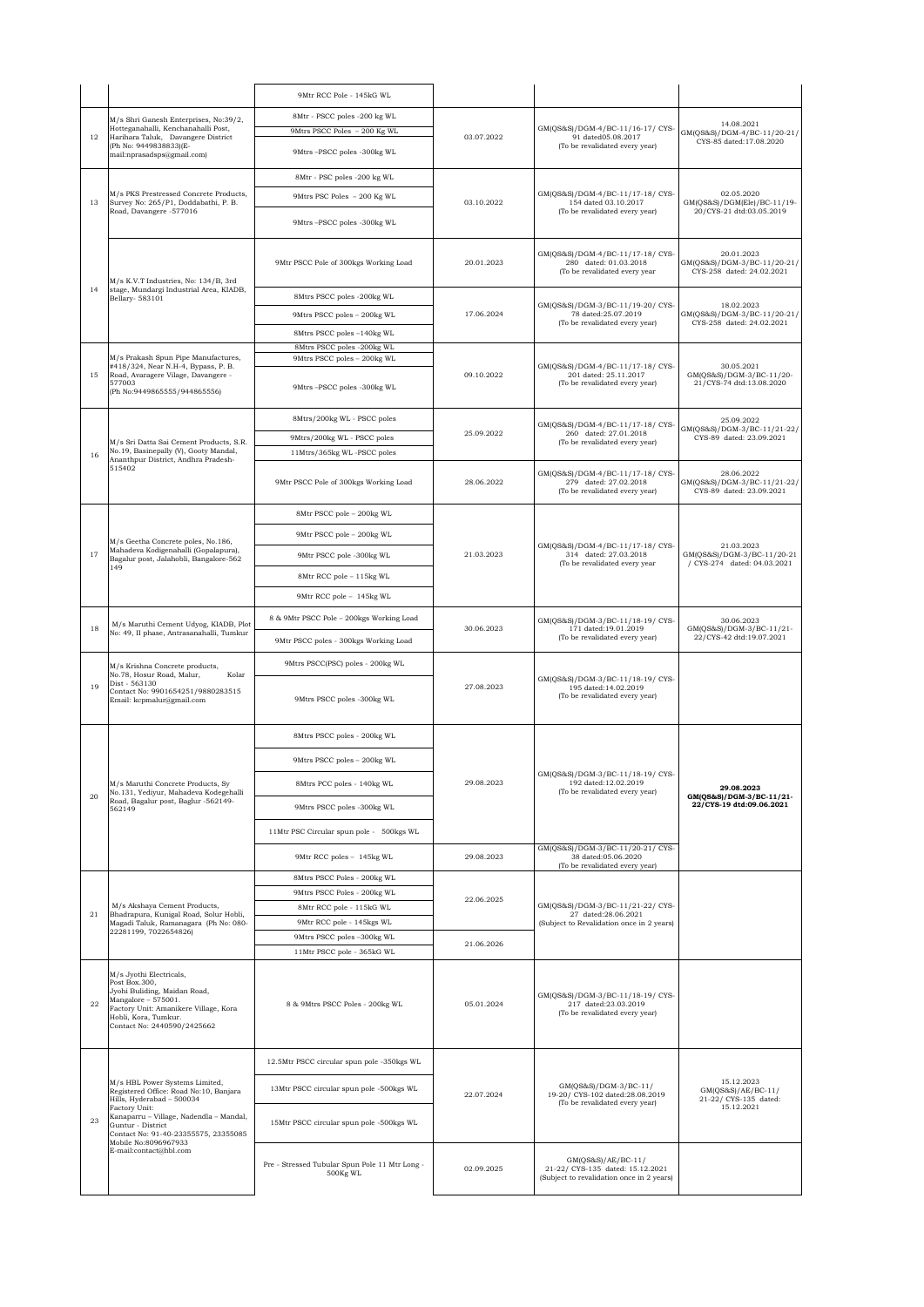|    | M/s Shri Ganesh Enterprises, No:39/2,                                                                                                                                                                                                                                            | 9Mtr RCC Pole - 145kG WL                                   | 03.07.2022               | GM(QS&S)/DGM-4/BC-11/16-17/CYS-<br>91 dated05.08.2017<br>(To be revalidated every year)             |                                                                         |
|----|----------------------------------------------------------------------------------------------------------------------------------------------------------------------------------------------------------------------------------------------------------------------------------|------------------------------------------------------------|--------------------------|-----------------------------------------------------------------------------------------------------|-------------------------------------------------------------------------|
|    |                                                                                                                                                                                                                                                                                  | 8Mtr - PSCC poles -200 kg WL                               |                          |                                                                                                     | 14.08.2021                                                              |
| 12 | Hotteganahalli, Kenchanahalli Post,<br>Harihara Taluk, Davangere District<br>(Ph No: 9449838833)(E-                                                                                                                                                                              | 9Mtrs PSCC Poles - 200 Kg WL                               |                          |                                                                                                     | GM(QS&S)/DGM-4/BC-11/20-21/<br>CYS-85 dated:17.08.2020                  |
|    | mail:nprasadsps@gmail.com)                                                                                                                                                                                                                                                       | 9Mtrs-PSCC poles -300kg WL                                 |                          |                                                                                                     |                                                                         |
|    | M/s PKS Prestressed Concrete Products,<br>Survey No: 265/P1, Doddabathi, P. B.<br>Road, Davangere -577016                                                                                                                                                                        | 8Mtr - PSC poles -200 kg WL                                |                          | GM(QS&S)/DGM-4/BC-11/17-18/ CYS-<br>154 dated 03.10.2017<br>(To be revalidated every year)          |                                                                         |
| 13 |                                                                                                                                                                                                                                                                                  | 9Mtrs PSC Poles - 200 Kg WL                                | 03.10.2022               |                                                                                                     | 02.05.2020<br>GM(QS&S)/DGM(Ele)/BC-11/19-                               |
|    |                                                                                                                                                                                                                                                                                  | 9Mtrs-PSCC poles -300kg WL                                 |                          |                                                                                                     | 20/CYS-21 dtd:03.05.2019                                                |
|    |                                                                                                                                                                                                                                                                                  |                                                            | 20.01.2023<br>17.06.2024 | GM(QS&S)/DGM-4/BC-11/17-18/CYS-<br>280 dated: 01.03.2018<br>(To be revalidated every year           |                                                                         |
|    | M/s K.V.T Industries, No: 134/B, 3rd<br>stage, Mundargi Industrial Area, KIADB,<br>Bellary- 583101                                                                                                                                                                               | 9Mtr PSCC Pole of 300kgs Working Load                      |                          |                                                                                                     | 20.01.2023<br>GM(QS&S)/DGM-3/BC-11/20-21/<br>CYS-258 dated: 24.02.2021  |
| 14 |                                                                                                                                                                                                                                                                                  |                                                            |                          |                                                                                                     |                                                                         |
|    |                                                                                                                                                                                                                                                                                  | 8Mtrs PSCC poles -200kg WL<br>9Mtrs PSCC poles - 200kg WL  |                          | GM(QS&S)/DGM-3/BC-11/19-20/ CYS-<br>78 dated:25.07.2019<br>(To be revalidated every year)           | 18.02.2023<br>GM(QS&S)/DGM-3/BC-11/20-21/<br>CYS-258 dated: 24.02.2021  |
|    |                                                                                                                                                                                                                                                                                  | 8Mtrs PSCC poles -140kg WL                                 |                          |                                                                                                     |                                                                         |
|    |                                                                                                                                                                                                                                                                                  | 8Mtrs PSCC poles -200kg WL                                 | 09.10.2022               | GM(QS&S)/DGM-4/BC-11/17-18/CYS-<br>201 dated: 25.11.2017<br>(To be revalidated every year)          | 30.05.2021<br>GM(QS&S)/DGM-3/BC-11/20-<br>21/CYS-74 dtd:13.08.2020      |
| 15 | M/s Prakash Spun Pipe Manufactures,<br>#418/324, Near N.H-4, Bypass, P. B.<br>Road, Avaragere Vilage, Davangere -                                                                                                                                                                | 9Mtrs PSCC poles - 200kg WL                                |                          |                                                                                                     |                                                                         |
|    | 577003<br>(Ph No:9449865555/944865556)                                                                                                                                                                                                                                           | 9Mtrs-PSCC poles -300kg WL                                 |                          |                                                                                                     |                                                                         |
|    |                                                                                                                                                                                                                                                                                  | 8Mtrs/200kg WL - PSCC poles                                |                          | GM(QS&S)/DGM-4/BC-11/17-18/CYS-                                                                     | 25.09.2022<br>GM(QS&S)/DGM-3/BC-11/21-22/<br>CYS-89 dated: 23.09.2021   |
|    | M/s Sri Datta Sai Cement Products, S.R.                                                                                                                                                                                                                                          | 9Mtrs/200kg WL - PSCC poles                                | 25.09.2022               | 260 dated: 27.01.2018<br>(To be revalidated every year)                                             |                                                                         |
| 16 | No.19, Basinepally (V), Gooty Mandal,<br>Ananthpur District, Andhra Pradesh-                                                                                                                                                                                                     | 11Mtrs/365kg WL-PSCC poles                                 |                          |                                                                                                     |                                                                         |
|    | 515402                                                                                                                                                                                                                                                                           | 9Mtr PSCC Pole of 300kgs Working Load                      | 28.06.2022               | GM(QS&S)/DGM-4/BC-11/17-18/CYS-<br>279 dated: 27.02.2018<br>(To be revalidated every year)          | 28.06.2022<br>GM(QS&S)/DGM-3/BC-11/21-22/<br>CYS-89 dated: 23.09.2021   |
|    |                                                                                                                                                                                                                                                                                  | 8Mtr PSCC pole - 200kg WL                                  |                          |                                                                                                     |                                                                         |
|    |                                                                                                                                                                                                                                                                                  | 9Mtr PSCC pole - 200kg WL                                  |                          | GM(QS&S)/DGM-4/BC-11/17-18/ CYS-<br>314 dated: 27.03.2018<br>(To be revalidated every year          |                                                                         |
| 17 | M/s Geetha Concrete poles, No.186,<br>Mahadeva Kodigenahalli (Gopalapura),<br>Bagalur post, Jalahobli, Bangalore-562                                                                                                                                                             | 9Mtr PSCC pole -300kg WL                                   | 21.03.2023               |                                                                                                     | 21.03.2023<br>GM(QS&S)/DGM-3/BC-11/20-21<br>/ CYS-274 dated: 04.03.2021 |
|    | 149                                                                                                                                                                                                                                                                              | 8Mtr RCC pole - 115kg WL                                   |                          |                                                                                                     |                                                                         |
|    |                                                                                                                                                                                                                                                                                  | 9Mtr RCC pole - 145kg WL                                   |                          |                                                                                                     |                                                                         |
|    |                                                                                                                                                                                                                                                                                  | 8 & 9Mtr PSCC Pole – 200kgs Working Load                   | 30.06.2023               | GM(QS&S)/DGM-3/BC-11/18-19/CYS-<br>171 dated:19.01.2019<br>(To be revalidated every year)           | 30.06.2023                                                              |
| 18 | M/s Maruthi Cement Udyog, KIADB, Plot<br>No: 49, II phase, Antrasanahalli, Tumkur                                                                                                                                                                                                | 9Mtr PSCC poles - 300kgs Working Load                      |                          |                                                                                                     | GM(QS&S)/DGM-3/BC-11/21-<br>22/CYS-42 dtd:19.07.2021                    |
|    | M/s Krishna Concrete products,                                                                                                                                                                                                                                                   | 9Mtrs PSCC(PSC) poles - 200kg WL                           |                          | GM(QS&S)/DGM-3/BC-11/18-19/CYS-<br>195 dated:14.02.2019<br>(To be revalidated every year)           |                                                                         |
| 19 | No.78, Hosur Road, Malur,<br>Kolar<br>Dist - 563130<br>Contact No: 9901654251/9880283515<br>Email: kcpmalur@gmail.com                                                                                                                                                            | 9Mtrs PSCC poles -300kg WL                                 | 27.08.2023               |                                                                                                     |                                                                         |
|    |                                                                                                                                                                                                                                                                                  | 8Mtrs PSCC poles - 200kg WL                                | 29.08.2023               | GM(QS&S)/DGM-3/BC-11/18-19/CYS-<br>192 dated:12.02.2019<br>(To be revalidated every year)           |                                                                         |
|    | M/s Maruthi Concrete Products, Sy                                                                                                                                                                                                                                                | 9Mtrs PSCC poles - 200kg WL                                |                          |                                                                                                     | 29.08.2023<br>GM(QS&S)/DGM-3/BC-11/21-<br>22/CYS-19 dtd:09.06.2021      |
|    |                                                                                                                                                                                                                                                                                  | 8Mtrs PCC poles - 140kg WL                                 |                          |                                                                                                     |                                                                         |
| 20 | No.131, Yediyur, Mahadeva Kodegehalli<br>Road, Bagalur post, Baglur -562149-                                                                                                                                                                                                     |                                                            |                          |                                                                                                     |                                                                         |
|    | 562149                                                                                                                                                                                                                                                                           | 9Mtrs PSCC poles -300kg WL                                 |                          |                                                                                                     |                                                                         |
|    |                                                                                                                                                                                                                                                                                  | 11Mtr PSC Circular spun pole - 500kgs WL                   |                          | GM(QS&S)/DGM-3/BC-11/20-21/ CYS-                                                                    |                                                                         |
|    |                                                                                                                                                                                                                                                                                  | 9Mtr RCC poles - 145kg WL                                  | 29.08.2023               | 38 dated:05.06.2020<br>(To be revalidated every year)                                               |                                                                         |
|    | M/s Akshaya Cement Products,<br>Bhadrapura, Kunigal Road, Solur Hobli,<br>Magadi Taluk, Ramanagara (Ph No: 080-<br>22281199, 7022654826)                                                                                                                                         | 8Mtrs PSCC Poles - 200kg WL                                | 22.06.2025               | GM(QS&S)/DGM-3/BC-11/21-22/CYS-<br>27 dated:28.06.2021<br>(Subject to Revalidation once in 2 years) |                                                                         |
|    |                                                                                                                                                                                                                                                                                  | 9Mtrs PSCC Poles - 200kg WL<br>8Mtr RCC pole - 115kG WL    |                          |                                                                                                     |                                                                         |
| 21 |                                                                                                                                                                                                                                                                                  | 9Mtr RCC pole - 145kgs WL                                  |                          |                                                                                                     |                                                                         |
|    |                                                                                                                                                                                                                                                                                  | 9Mtrs PSCC poles -300kg WL                                 | 21.06.2026               |                                                                                                     |                                                                         |
|    |                                                                                                                                                                                                                                                                                  | 11Mtr PSCC pole - 365kG WL                                 |                          |                                                                                                     |                                                                         |
| 22 | M/s Jvothi Electricals.<br>Post Box.300,<br>Jyohi Buliding, Maidan Road,<br>Mangalore - 575001.<br>Factory Unit: Amanikere Village, Kora<br>Hobli, Kora, Tumkur.<br>Contact No: 2440590/2425662                                                                                  | 8 & 9Mtrs PSCC Poles - 200kg WL                            | 05.01.2024               | GM(QS&S)/DGM-3/BC-11/18-19/CYS-<br>217 dated:23.03.2019<br>(To be revalidated every year)           |                                                                         |
|    | M/s HBL Power Systems Limited,<br>Registered Office: Road No:10, Banjara<br>Hills, Hyderabad - 500034<br>Factory Unit:<br>Kanaparru - Village, Nadendla - Mandal,<br>Guntur - District<br>Contact No: 91-40-23355575, 23355085<br>Mobile No:8096967933<br>E-mail:contact@hbl.com | 12.5Mtr PSCC circular spun pole -350kgs WL                 |                          | GM(QS&S)/DGM-3/BC-11/<br>19-20/ CYS-102 dated:28.08.2019<br>(To be revalidated every year)          |                                                                         |
|    |                                                                                                                                                                                                                                                                                  | 13Mtr PSCC circular spun pole -500kgs WL                   |                          |                                                                                                     | 15.12.2023<br>GM(QS&S)/AE/BC-11/                                        |
|    |                                                                                                                                                                                                                                                                                  |                                                            | 22.07.2024               |                                                                                                     | 21-22/ CYS-135 dated:<br>15.12.2021                                     |
| 23 |                                                                                                                                                                                                                                                                                  | 15Mtr PSCC circular spun pole -500kgs WL                   |                          |                                                                                                     |                                                                         |
|    |                                                                                                                                                                                                                                                                                  | Pre - Stressed Tubular Spun Pole 11 Mtr Long -<br>500Kg WL | 02.09.2025               | GM(QS&S)/AE/BC-11/<br>21-22/ CYS-135 dated: 15.12.2021<br>(Subject to revalidation once in 2 years) |                                                                         |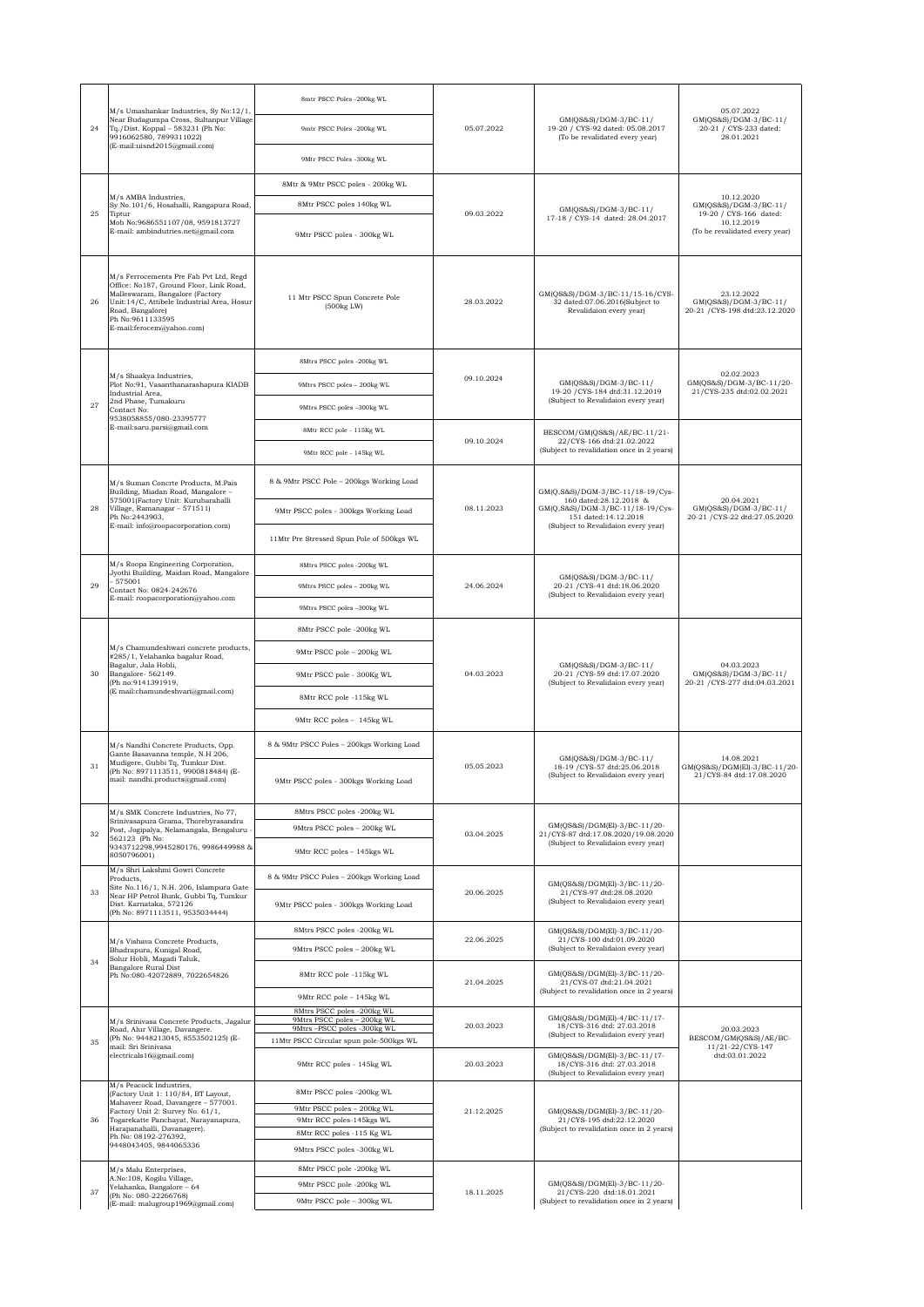|    | M/s Umashankar Industries, Sy No:12/1,<br>Near Budagumpa Cross, Sultanpur Village<br>Tq./Dist. Koppal - 583231 (Ph No:<br>9916062580, 7899311022)<br>(E-mail:uisnd2015@gmail.com)                                                                                 | 8mtr PSCC Poles -200kg WL                                 | 05.07.2022 | GM(QS&S)/DGM-3/BC-11/<br>19-20 / CYS-92 dated: 05.08.2017<br>(To be revalidated every year)                                                                   | 05.07.2022<br>GM(QS&S)/DGM-3/BC-11/<br>20-21 / CYS-233 dated:<br>28.01.2021 |
|----|-------------------------------------------------------------------------------------------------------------------------------------------------------------------------------------------------------------------------------------------------------------------|-----------------------------------------------------------|------------|---------------------------------------------------------------------------------------------------------------------------------------------------------------|-----------------------------------------------------------------------------|
| 24 |                                                                                                                                                                                                                                                                   | 9mtr PSCC Poles -200kg WL                                 |            |                                                                                                                                                               |                                                                             |
|    |                                                                                                                                                                                                                                                                   | 9Mtr PSCC Poles -300kg WL                                 |            |                                                                                                                                                               |                                                                             |
|    |                                                                                                                                                                                                                                                                   | 8Mtr & 9Mtr PSCC poles - 200kg WL                         |            |                                                                                                                                                               |                                                                             |
|    | M/s AMBA Industries,<br>Sy No.101/6, Hosahalli, Rangapura Road,                                                                                                                                                                                                   | 8Mtr PSCC poles 140kg WL                                  |            | GM(QS&S)/DGM-3/BC-11/                                                                                                                                         | 10.12.2020<br>GM(QS&S)/DGM-3/BC-11/                                         |
| 25 | Tiptur<br>Mob No:9686551107/08, 9591813727                                                                                                                                                                                                                        |                                                           | 09.03.2022 | 17-18 / CYS-14 dated: 28.04.2017                                                                                                                              | 19-20 / CYS-166 dated:<br>10.12.2019                                        |
|    | E-mail: ambindutries.net@gmail.com                                                                                                                                                                                                                                | 9Mtr PSCC poles - 300kg WL                                |            |                                                                                                                                                               | (To be revalidated every year)                                              |
| 26 | M/s Ferrocements Pre Fab Pvt Ltd, Regd<br>Office: No187, Ground Floor, Link Road,<br>Malleswaram, Bangalore (Factory<br>Unit: 14/C, Attibele Industrial Area, Hosur<br>Road, Bangalore)<br>Ph No:9611133595<br>E-mail:ferocem@yahoo.com)                          | 11 Mtr PSCC Spun Concrete Pole<br>(500kg LW)              | 28.03.2022 | GM(QS&S)/DGM-3/BC-11/15-16/CYS-<br>32 dated:07.06.2016(Subject to<br>Revalidaion every year)                                                                  | 23.12.2022<br>GM(QS&S)/DGM-3/BC-11/<br>20-21 / CYS-198 dtd:23.12.2020       |
|    | M/s Shaakya Industries,<br>Plot No:91, Vasanthanarashapura KIADB                                                                                                                                                                                                  | 8Mtrs PSCC poles -200kg WL                                | 09.10.2024 | GM(QS&S)/DGM-3/BC-11/<br>19-20 / CYS-184 dtd:31.12.2019<br>(Subject to Revalidaion every year)                                                                | 02.02.2023<br>GM(QS&S)/DGM-3/BC-11/20-<br>21/CYS-235 dtd:02.02.2021         |
|    |                                                                                                                                                                                                                                                                   | 9Mtrs PSCC poles - 200kg WL                               |            |                                                                                                                                                               |                                                                             |
| 27 | Industrial Area.<br>2nd Phase, Tumakuru<br>Contact No:                                                                                                                                                                                                            | 9Mtrs PSCC poles -300kg WL                                |            |                                                                                                                                                               |                                                                             |
|    | 9538058855/080-23395777<br>E-mail:saru.parsi@gmail.com                                                                                                                                                                                                            | 8Mtr RCC pole - 115Kg WL                                  |            | BESCOM/GM(QS&S)/AE/BC-11/21-                                                                                                                                  |                                                                             |
|    |                                                                                                                                                                                                                                                                   | 9Mtr RCC pole - 145kg WL                                  | 09.10.2024 | 22/CYS-166 dtd:21.02.2022<br>(Subject to revalidation once in 2 years)                                                                                        |                                                                             |
|    |                                                                                                                                                                                                                                                                   |                                                           |            |                                                                                                                                                               |                                                                             |
|    | M/s Suman Concrte Products, M.Pais<br>Building, Miadan Road, Mangalore -<br>575001(Factory Unit: Kurubarahalli                                                                                                                                                    | 8 & 9Mtr PSCC Pole - 200kgs Working Load                  | 08.11.2023 | GM(Q,S&S)/DGM-3/BC-11/18-19/Cys-<br>160 dated:28.12.2018 &<br>GM(Q,S&S)/DGM-3/BC-11/18-19/Cys-<br>151 dated:14.12.2018<br>(Subject to Revalidaion every year) | 20.04.2021                                                                  |
| 28 | Village, Ramanagar - 571511)<br>Ph No:2443903,<br>E-mail: info@roopacorporation.com)                                                                                                                                                                              | 9Mtr PSCC poles - 300kgs Working Load                     |            |                                                                                                                                                               | GM(QS&S)/DGM-3/BC-11/<br>20-21 / CYS-22 dtd:27.05.2020                      |
|    |                                                                                                                                                                                                                                                                   | 11Mtr Pre Stressed Spun Pole of 500kgs WL                 |            |                                                                                                                                                               |                                                                             |
|    | M/s Roopa Engineering Corporation,<br>Jyothi Building, Maidan Road, Mangalore                                                                                                                                                                                     | 8Mtrs PSCC poles -200kg WL                                |            | GM(QS&S)/DGM-3/BC-11/<br>20-21 / CYS-41 dtd:18.06.2020<br>(Subject to Revalidaion every year)                                                                 |                                                                             |
| 29 | $-575001$<br>Contact No: 0824-242676<br>E-mail: roopacorporation@yahoo.com                                                                                                                                                                                        | 9Mtrs PSCC poles - 200kg WL                               | 24.06.2024 |                                                                                                                                                               |                                                                             |
|    |                                                                                                                                                                                                                                                                   | 9Mtrs PSCC poles -300kg WL                                |            |                                                                                                                                                               |                                                                             |
|    |                                                                                                                                                                                                                                                                   | 8Mtr PSCC pole -200kg WL                                  |            |                                                                                                                                                               |                                                                             |
|    | M/s Chamundeshwari concrete products,<br>#285/1, Yelahanka bagalur Road,<br>Bagalur, Jala Hobli,<br>Bangalore-562149.<br>(Ph no:9141391919,<br>(E mail:chamundeshvari@gmail.com)                                                                                  | 9Mtr PSCC pole - 200kg WL                                 | 04.03.2023 | GM(QS&S)/DGM-3/BC-11/<br>20-21 / CYS-59 dtd:17.07.2020<br>(Subject to Revalidaion every year)                                                                 |                                                                             |
| 30 |                                                                                                                                                                                                                                                                   | 9Mtr PSCC pole - 300Kg WL                                 |            |                                                                                                                                                               | 04.03.2023<br>GM(QS&S)/DGM-3/BC-11/<br>20-21 / CYS-277 dtd:04.03.2021       |
|    |                                                                                                                                                                                                                                                                   | 8Mtr RCC pole -115kg WL                                   |            |                                                                                                                                                               |                                                                             |
|    |                                                                                                                                                                                                                                                                   | 9Mtr RCC poles - 145kg WL                                 |            |                                                                                                                                                               |                                                                             |
|    | M/s Nandhi Concrete Products, Opp.<br>Gante Basavanna temple, N.H 206,                                                                                                                                                                                            | 8 & 9Mtr PSCC Poles - 200kgs Working Load                 |            | GM(QS&S)/DGM-3/BC-11/<br>18-19 / CYS-57 dtd:25.06.2018<br>(Subject to Revalidaion every year)                                                                 | 14.08.2021<br>GM(QS&S)/DGM(El)-3/BC-11/20-<br>21/CYS-84 dtd:17.08.2020      |
| 31 | Mudigere, Gubbi Tq, Tumkur Dist.<br>(Ph No: 8971113511, 9900818484) (E-<br>mail: nandhi.products@gmail.com)                                                                                                                                                       | 9Mtr PSCC poles - 300kgs Working Load                     | 05.05.2023 |                                                                                                                                                               |                                                                             |
|    | M/s SMK Concrete Industries, No 77,<br>Srinivasapura Grama, Thorebyrasandra<br>Post, Jogipalya, Nelamangala, Bengaluru -<br>562123 (Ph No:<br>9343712298,9945280176, 9986449988 &<br>8050796001)                                                                  | 8Mtrs PSCC poles -200kg WL                                | 03.04.2025 | GM(QS&S)/DGM(El)-3/BC-11/20-<br>21/CYS-87 dtd:17.08.2020/19.08.2020<br>(Subject to Revalidaion every year)                                                    |                                                                             |
| 32 |                                                                                                                                                                                                                                                                   | 9Mtrs PSCC poles - 200kg WL                               |            |                                                                                                                                                               |                                                                             |
|    |                                                                                                                                                                                                                                                                   | 9Mtr RCC poles - 145kgs WL                                |            |                                                                                                                                                               |                                                                             |
| 33 | M/s Shri Lakshmi Gowri Concrete<br>Products,<br>Site No.116/1, N.H. 206, Islampura Gate<br>Near HP Petrol Bunk, Gubbi Tq, Tumkur<br>Dist. Karnataka, 572126<br>(Ph No: 8971113511, 9535034444)                                                                    | 8 & 9Mtr PSCC Poles - 200kgs Working Load                 | 20.06.2025 | GM(QS&S)/DGM(El)-3/BC-11/20-<br>21/CYS-97 dtd:28.08.2020<br>(Subject to Revalidaion every year)                                                               |                                                                             |
|    |                                                                                                                                                                                                                                                                   | 9Mtr PSCC poles - 300kgs Working Load                     |            |                                                                                                                                                               |                                                                             |
|    | M/s Vishava Concrete Products,<br>Bhadrapura, Kunigal Road,<br>Solur Hobli, Magadi Taluk,<br>Bangalore Rural Dist<br>Ph No:080-42072889, 7022654826                                                                                                               | 8Mtrs PSCC poles -200kg WL                                | 22.06.2025 | GM(QS&S)/DGM(El)-3/BC-11/20-<br>21/CYS-100 dtd:01.09.2020<br>(Subject to Revalidaion every year)                                                              |                                                                             |
| 34 |                                                                                                                                                                                                                                                                   | 9Mtrs PSCC poles - 200kg WL                               |            |                                                                                                                                                               |                                                                             |
|    |                                                                                                                                                                                                                                                                   | 8Mtr RCC pole -115kg WL                                   | 21.04.2025 | GM(QS&S)/DGM(El)-3/BC-11/20-<br>21/CYS-07 dtd:21.04.2021                                                                                                      |                                                                             |
|    |                                                                                                                                                                                                                                                                   | 9Mtr RCC pole - 145kg WL<br>8Mtrs PSCC poles -200kg WL    |            | (Subject to revalidation once in 2 years)                                                                                                                     |                                                                             |
|    | M/s Srinivasa Concrete Products, Jagalur<br>Road, Alur Village, Davangere.                                                                                                                                                                                        | 9Mtrs PSCC poles - 200kg WL<br>9Mtrs-PSCC poles -300kg WL | 20.03.2023 | GM(QS&S)/DGM(El)-4/BC-11/17-<br>18/CYS-316 dtd: 27.03.2018<br>(Subject to Revalidaion every year)<br>GM(QS&S)/DGM(El)-3/BC-11/17-                             | 20.03.2023                                                                  |
| 35 | (Ph No: 9448213045, 8553502125) (E-<br>mail: Sri Srinivasa                                                                                                                                                                                                        | 11Mtr PSCC Circular spun pole-500kgs WL                   |            |                                                                                                                                                               | BESCOM/GM(QS&S)/AE/BC-<br>11/21-22/CYS-147<br>dtd:03.01.2022                |
|    | electricals16@gmail.com)                                                                                                                                                                                                                                          | 9Mtr RCC poles - 145kg WL                                 | 20.03.2023 | 18/CYS-316 dtd: 27.03.2018<br>(Subject to Revalidaion every year)                                                                                             |                                                                             |
| 36 | M/s Peacock Industries,<br>(Factory Unit 1: 110/84, BT Layout,<br>Mahaveer Road, Davangere - 577001.<br>Factory Unit 2: Survey No. 61/1,<br>Togarekatte Panchayat, Narayanapura,<br>Harapanahalli, Davanagere).<br>Ph No: 08192-276392,<br>9448043405, 9844065336 | 8Mtr PSCC poles -200kg WL                                 | 21.12.2025 | GM(QS&S)/DGM(El)-3/BC-11/20-<br>21/CYS-195 dtd:22.12.2020<br>(Subject to revalidation once in 2 years)                                                        |                                                                             |
|    |                                                                                                                                                                                                                                                                   | 9Mtr PSCC poles - 200kg WL<br>9Mtr RCC poles-145kgs WL    |            |                                                                                                                                                               |                                                                             |
|    |                                                                                                                                                                                                                                                                   | 8Mtr RCC poles -115 Kg WL                                 |            |                                                                                                                                                               |                                                                             |
|    |                                                                                                                                                                                                                                                                   | 9Mtrs PSCC poles -300kg WL                                |            |                                                                                                                                                               |                                                                             |
|    | M/s Malu Enterprises,<br>A.No:108, Kogilu Village,                                                                                                                                                                                                                | 8Mtr PSCC pole -200kg WL                                  |            | GM(QS&S)/DGM(El)-3/BC-11/20-                                                                                                                                  |                                                                             |
| 37 | Yelahanka, Bangalore - 64<br>(Ph No: 080-22266768)                                                                                                                                                                                                                | 9Mtr PSCC pole -200kg WL<br>9Mtr PSCC pole - 300kg WL     | 18.11.2025 | 21/CYS-220 dtd:18.01.2021<br>(Subject to revalidation once in 2 years)                                                                                        |                                                                             |
|    | (E-mail: malugroup1969@gmail.com)                                                                                                                                                                                                                                 |                                                           |            |                                                                                                                                                               |                                                                             |